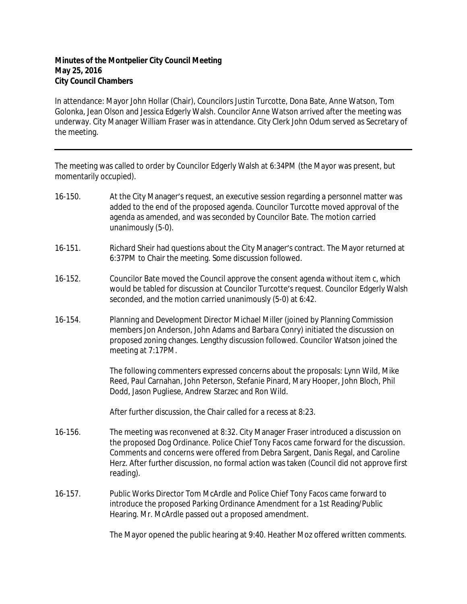## **Minutes of the Montpelier City Council Meeting May 25, 2016 City Council Chambers**

In attendance: Mayor John Hollar (Chair), Councilors Justin Turcotte, Dona Bate, Anne Watson, Tom Golonka, Jean Olson and Jessica Edgerly Walsh. Councilor Anne Watson arrived after the meeting was underway. City Manager William Fraser was in attendance. City Clerk John Odum served as Secretary of the meeting.

The meeting was called to order by Councilor Edgerly Walsh at 6:34PM (the Mayor was present, but momentarily occupied).

- 16-150. At the City Manager's request, an executive session regarding a personnel matter was added to the end of the proposed agenda. Councilor Turcotte moved approval of the agenda as amended, and was seconded by Councilor Bate. The motion carried unanimously (5-0).
- 16-151. Richard Sheir had questions about the City Manager's contract. The Mayor returned at 6:37PM to Chair the meeting. Some discussion followed.
- 16-152. Councilor Bate moved the Council approve the consent agenda without item c, which would be tabled for discussion at Councilor Turcotte's request. Councilor Edgerly Walsh seconded, and the motion carried unanimously (5-0) at 6:42.
- 16-154. Planning and Development Director Michael Miller (joined by Planning Commission members Jon Anderson, John Adams and Barbara Conry) initiated the discussion on proposed zoning changes. Lengthy discussion followed. Councilor Watson joined the meeting at 7:17PM.

The following commenters expressed concerns about the proposals: Lynn Wild, Mike Reed, Paul Carnahan, John Peterson, Stefanie Pinard, Mary Hooper, John Bloch, Phil Dodd, Jason Pugliese, Andrew Starzec and Ron Wild.

After further discussion, the Chair called for a recess at 8:23.

- 16-156. The meeting was reconvened at 8:32. City Manager Fraser introduced a discussion on the proposed Dog Ordinance. Police Chief Tony Facos came forward for the discussion. Comments and concerns were offered from Debra Sargent, Danis Regal, and Caroline Herz. After further discussion, no formal action was taken (Council did not approve first reading).
- 16-157. Public Works Director Tom McArdle and Police Chief Tony Facos came forward to introduce the proposed Parking Ordinance Amendment for a 1st Reading/Public Hearing. Mr. McArdle passed out a proposed amendment.

The Mayor opened the public hearing at 9:40. Heather Moz offered written comments.